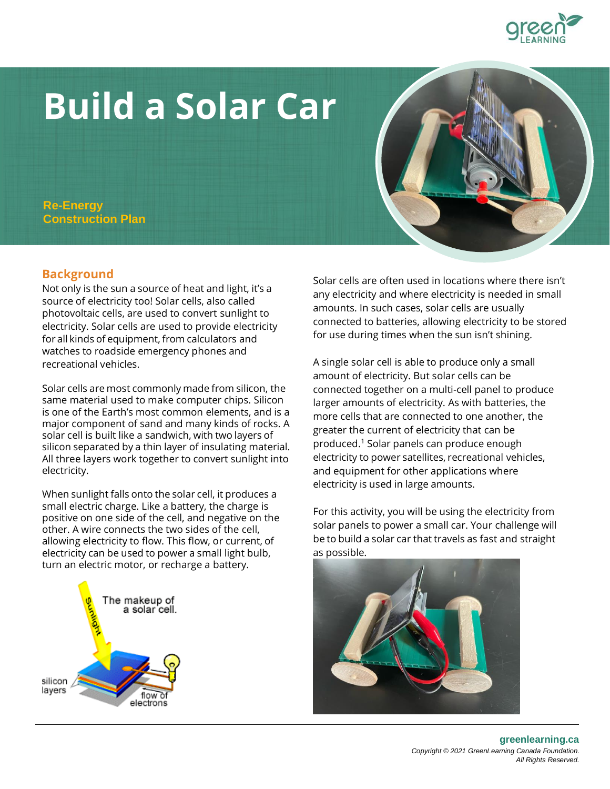# **Build a Solar Car**

**Re-Energy Construction Plan**

# **Background**

Not only is the sun a source of heat and light, it's a source of electricity too! Solar cells, also called photovoltaic cells, are used to convert sunlight to electricity. Solar cells are used to provide electricity forall kinds of equipment, from calculators and watches to roadside emergency phones and recreational vehicles.

Solar cells are most commonly made from silicon, the same material used to make computer chips. Silicon is one of the Earth's most common elements, and is a major component of sand and many kinds of rocks. A solar cell is built like a sandwich, with two layers of silicon separated by a thin layer of insulating material. All three layers work together to convert sunlight into electricity.

When sunlight falls onto the solar cell, it produces a small electric charge. Like a battery, the charge is positive on one side of the cell, and negative on the other. A wire connects the two sides of the cell, allowing electricity to flow. This flow, or current, of electricity can be used to power a small light bulb, turn an electric motor, or recharge a battery.

The makeup of a solar cell.

silicon layers

flow of electrons Solar cells are often used in locations where there isn't any electricity and where electricity is needed in small amounts. In such cases, solar cells are usually connected to batteries, allowing electricity to be stored for use during times when the sun isn't shining.

A single solar cell is able to produce only a small amount of electricity. But solar cells can be connected together on a multi-cell panel to produce larger amounts of electricity. As with batteries, the more cells that are connected to one another, the greater the current of electricity that can be produced.<sup>1</sup> Solar panels can produce enough electricity to power satellites, recreational vehicles, and equipment for other applications where electricity is used in large amounts.

For this activity, you will be using the electricity from solar panels to power a small car. Your challenge will be to build a solar car that travels as fast and straight as possible.







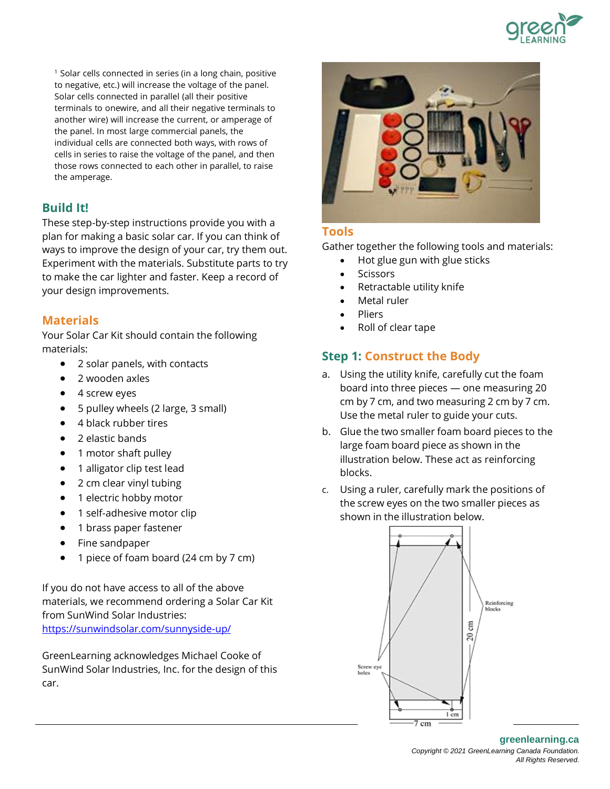

<sup>1</sup> Solar cells connected in series (in a long chain, positive to negative, etc.) will increase the voltage of the panel. Solar cells connected in parallel (all their positive terminals to onewire, and all their negative terminals to another wire) will increase the current, or amperage of the panel. In most large commercial panels, the individual cells are connected both ways, with rows of cells in series to raise the voltage of the panel, and then those rows connected to each other in parallel, to raise the amperage.

# **Build It!**

These step-by-step instructions provide you with a plan for making a basic solar car. If you can think of ways to improve the design of your car, try them out. Experiment with the materials. Substitute parts to try to make the car lighter and faster. Keep a record of your design improvements.

# **Materials**

Your Solar Car Kit should contain the following materials:

- 2 solar panels, with contacts
- 2 wooden axles
- 4 screw eyes
- 5 pulley wheels (2 large, 3 small)
- 4 black rubber tires
- 2 elastic bands
- 1 motor shaft pulley
- 1 alligator clip test lead
- 2 cm clear vinyl tubing
- 1 electric hobby motor
- 1 self-adhesive motor clip
- 1 brass paper fastener
- Fine sandpaper
- 1 piece of foam board (24 cm by 7 cm)

If you do not have access to all of the above materials, we recommend ordering a Solar Car Kit from SunWind Solar Industries: <https://sunwindsolar.com/sunnyside-up/>

GreenLearning acknowledges Michael Cooke of SunWind Solar Industries, Inc. for the design of this car.



# **Tools**

Gather together the following tools and materials:

- Hot glue gun with glue sticks
- **Scissors**
- Retractable utility knife
- Metal ruler
- Pliers
- Roll of clear tape

# **Step 1: Construct the Body**

- a. Using the utility knife, carefully cut the foam board into three pieces — one measuring 20 cm by 7 cm, and two measuring 2 cm by 7 cm. Use the metal ruler to guide your cuts.
- b. Glue the two smaller foam board pieces to the large foam board piece as shown in the illustration below. These act as reinforcing blocks.
- c. Using a ruler, carefully mark the positions of the screw eyes on the two smaller pieces as shown in the illustration below.

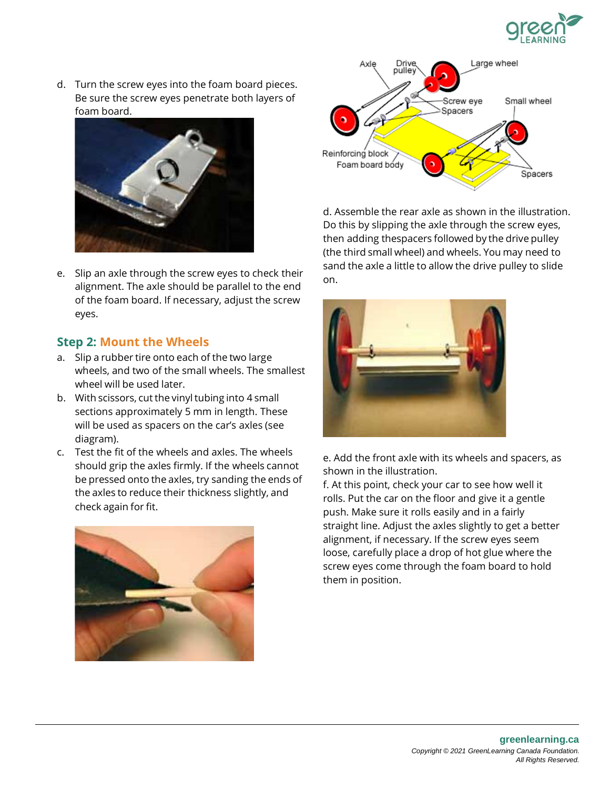

d. Turn the screw eyes into the foam board pieces. Be sure the screw eyes penetrate both layers of foam board.



e. Slip an axle through the screw eyes to check their alignment. The axle should be parallel to the end of the foam board. If necessary, adjust the screw eyes.

### **Step 2: Mount the Wheels**

- a. Slip arubber tire onto each of the two large wheels, and two of the small wheels. The smallest wheel will be used later.
- b. With scissors, cut the vinyl tubing into 4 small sections approximately 5 mm in length. These will be used as spacers on the car's axles (see diagram).
- c. Test the fit of the wheels and axles. The wheels should grip the axles firmly. If the wheels cannot be pressed onto the axles, try sanding the ends of the axles to reduce their thickness slightly, and checkagain for fit.





d. Assemble the rear axle as shown in the illustration. Do this by slipping the axle through the screw eyes, then adding thespacers followed by the drive pulley (the third small wheel) and wheels. You may need to sand the axle a little to allow the drive pulley to slide on.



e. Add the front axle with its wheels and spacers, as shown in the illustration.

f. At this point, check your car to see how well it rolls. Put the car on the floor and give it a gentle push. Make sure it rolls easily and in a fairly straight line. Adjust the axles slightly to get a better alignment, if necessary. If the screw eyes seem loose, carefully place a drop of hot glue where the screw eyes come through the foam board to hold them in position.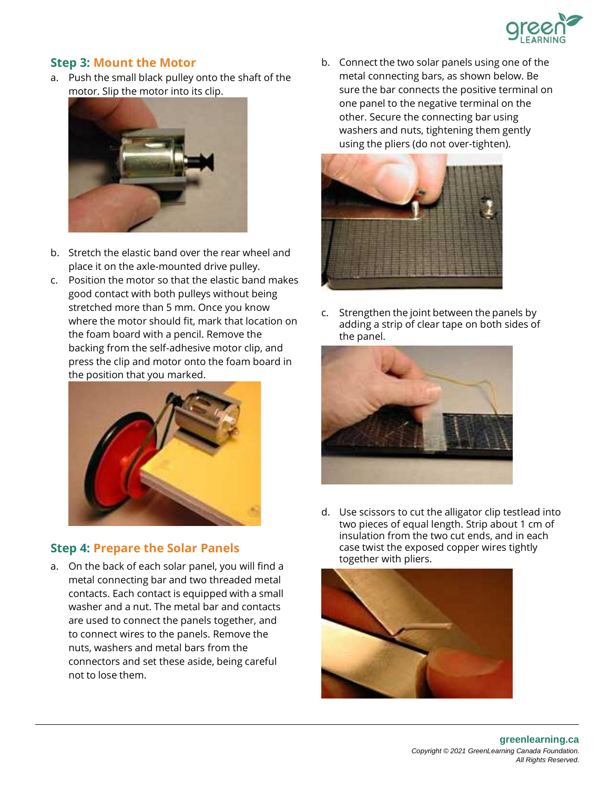

## **Step 3: Mount the Motor**

a. Push the small black pulley onto the shaft of the motor. Slip the motor into its clip.



- b. Stretch the elastic band over the rear wheel and place it on the axle-mounted drive pulley.
- c. Position the motor so that the elastic band makes good contact with both pulleys without being stretched more than 5 mm. Once you know where the motor should fit, mark that location on the foam board with a pencil. Remove the backing from the self-adhesive motor clip, and press the clip and motor onto the foam board in the position that you marked.



# **Step 4: Prepare the Solar Panels**

a. On the back of each solar panel, you will find a metal connecting bar and two threaded metal contacts. Each contact is equipped with a small washer and a nut. The metal bar and contacts are used to connect the panels together, and to connect wires to the panels. Remove the nuts, washers and metal bars from the connectors and set these aside, being careful not to lose them.

b. Connect the two solar panels using one of the metal connecting bars, as shown below. Be sure the bar connects the positive terminal on one panel to the negative terminal on the other. Secure the connecting bar using washers and nuts, tightening them gently using the pliers (do not over-tighten).



c. Strengthen the joint between the panels by adding a strip of clear tape on both sides of the panel.



d. Use scissors to cut the alligator clip testlead into two pieces of equal length. Strip about 1 cm of insulation from the two cut ends, and in each case twist the exposed copper wires tightly together with pliers.